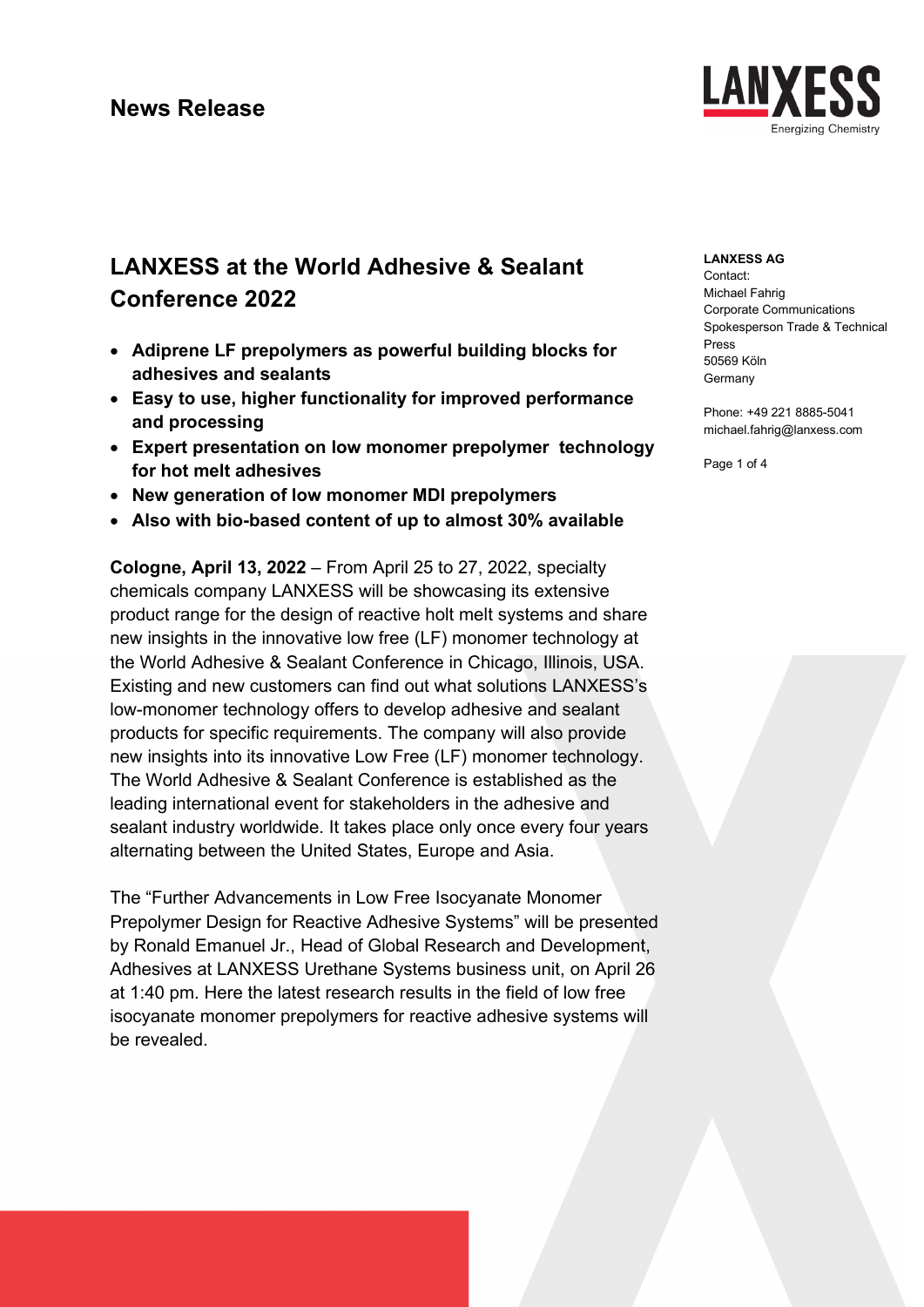

# **LANXESS at the World Adhesive & Sealant Conference 2022**

- **Adiprene LF prepolymers as powerful building blocks for adhesives and sealants**
- **Easy to use, higher functionality for improved performance and processing**
- **Expert presentation on low monomer prepolymer technology for hot melt adhesives**
- **New generation of low monomer MDI prepolymers**
- **Also with bio-based content of up to almost 30% available**

**Cologne, April 13, 2022** – From April 25 to 27, 2022, specialty chemicals company LANXESS will be showcasing its extensive product range for the design of reactive holt melt systems and share new insights in the innovative low free (LF) monomer technology at the World Adhesive & Sealant Conference in Chicago, Illinois, USA. Existing and new customers can find out what solutions LANXESS's low-monomer technology offers to develop adhesive and sealant products for specific requirements. The company will also provide new insights into its innovative Low Free (LF) monomer technology. The World Adhesive & Sealant Conference is established as the leading international event for stakeholders in the adhesive and sealant industry worldwide. It takes place only once every four years alternating between the United States, Europe and Asia.

The "Further Advancements in Low Free Isocyanate Monomer Prepolymer Design for Reactive Adhesive Systems" will be presented by Ronald Emanuel Jr., Head of Global Research and Development, Adhesives at LANXESS Urethane Systems business unit, on April 26 at 1:40 pm. Here the latest research results in the field of low free isocyanate monomer prepolymers for reactive adhesive systems will be revealed.

#### **LANXESS AG**

Contact: Michael Fahrig Corporate Communications Spokesperson Trade & Technical Press 50569 Köln Germany

Phone: +49 221 8885-5041 michael.fahrig@lanxess.com

Page 1 of 4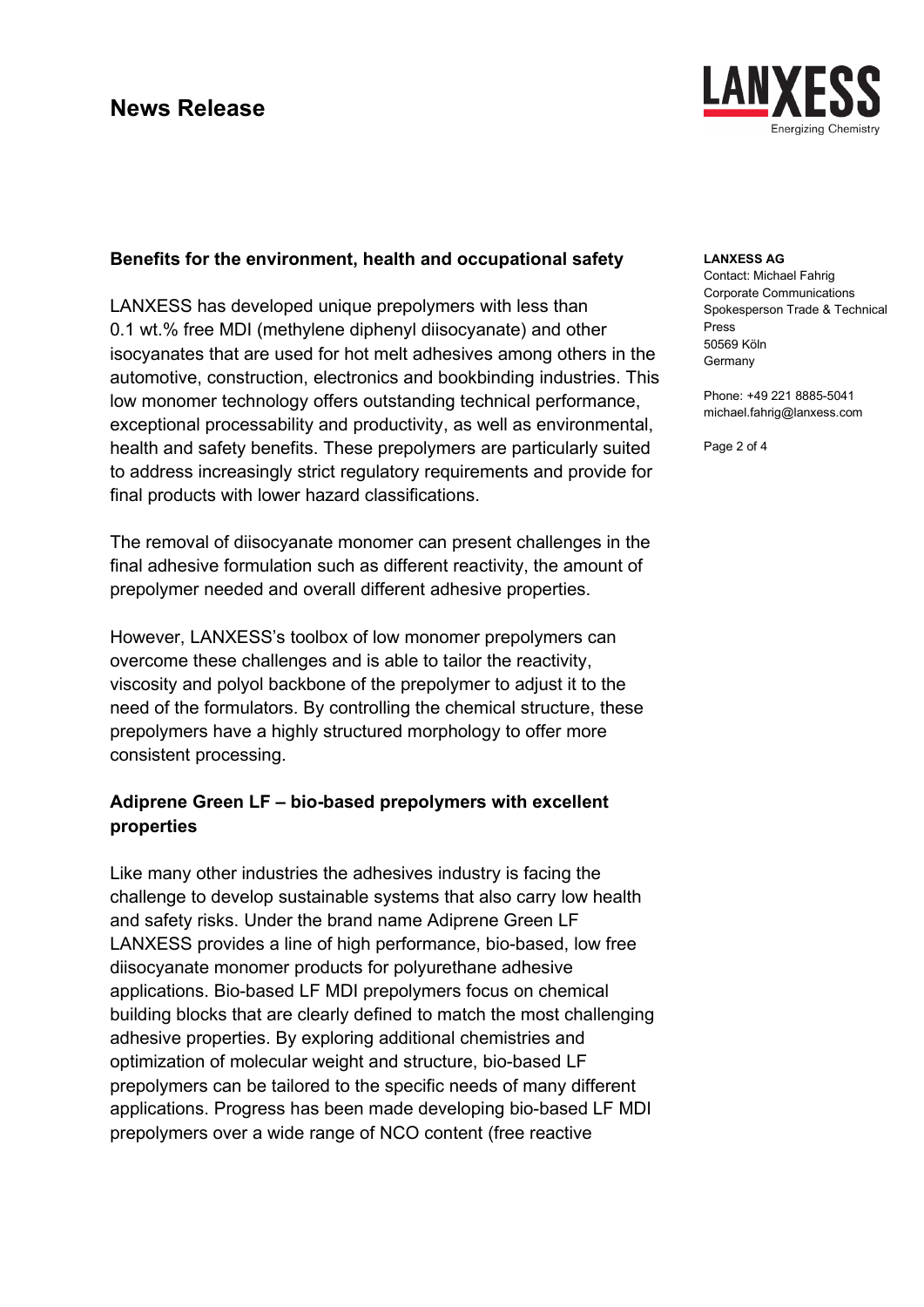

### **Benefits for the environment, health and occupational safety**

LANXESS has developed unique prepolymers with less than 0.1 wt.% free MDI (methylene diphenyl diisocyanate) and other isocyanates that are used for hot melt adhesives among others in the automotive, construction, electronics and bookbinding industries. This low monomer technology offers outstanding technical performance, exceptional processability and productivity, as well as environmental, health and safety benefits. These prepolymers are particularly suited to address increasingly strict regulatory requirements and provide for final products with lower hazard classifications.

The removal of diisocyanate monomer can present challenges in the final adhesive formulation such as different reactivity, the amount of prepolymer needed and overall different adhesive properties.

However, LANXESS's toolbox of low monomer prepolymers can overcome these challenges and is able to tailor the reactivity, viscosity and polyol backbone of the prepolymer to adjust it to the need of the formulators. By controlling the chemical structure, these prepolymers have a highly structured morphology to offer more consistent processing.

### **Adiprene Green LF – bio-based prepolymers with excellent properties**

Like many other industries the adhesives industry is facing the challenge to develop sustainable systems that also carry low health and safety risks. Under the brand name Adiprene Green LF LANXESS provides a line of high performance, bio-based, low free diisocyanate monomer products for polyurethane adhesive applications. Bio-based LF MDI prepolymers focus on chemical building blocks that are clearly defined to match the most challenging adhesive properties. By exploring additional chemistries and optimization of molecular weight and structure, bio-based LF prepolymers can be tailored to the specific needs of many different applications. Progress has been made developing bio-based LF MDI prepolymers over a wide range of NCO content (free reactive

#### **LANXESS AG**

Contact: Michael Fahrig Corporate Communications Spokesperson Trade & Technical Press 50569 Köln Germany

Phone: +49 221 8885-5041 michael.fahrig@lanxess.com

Page 2 of 4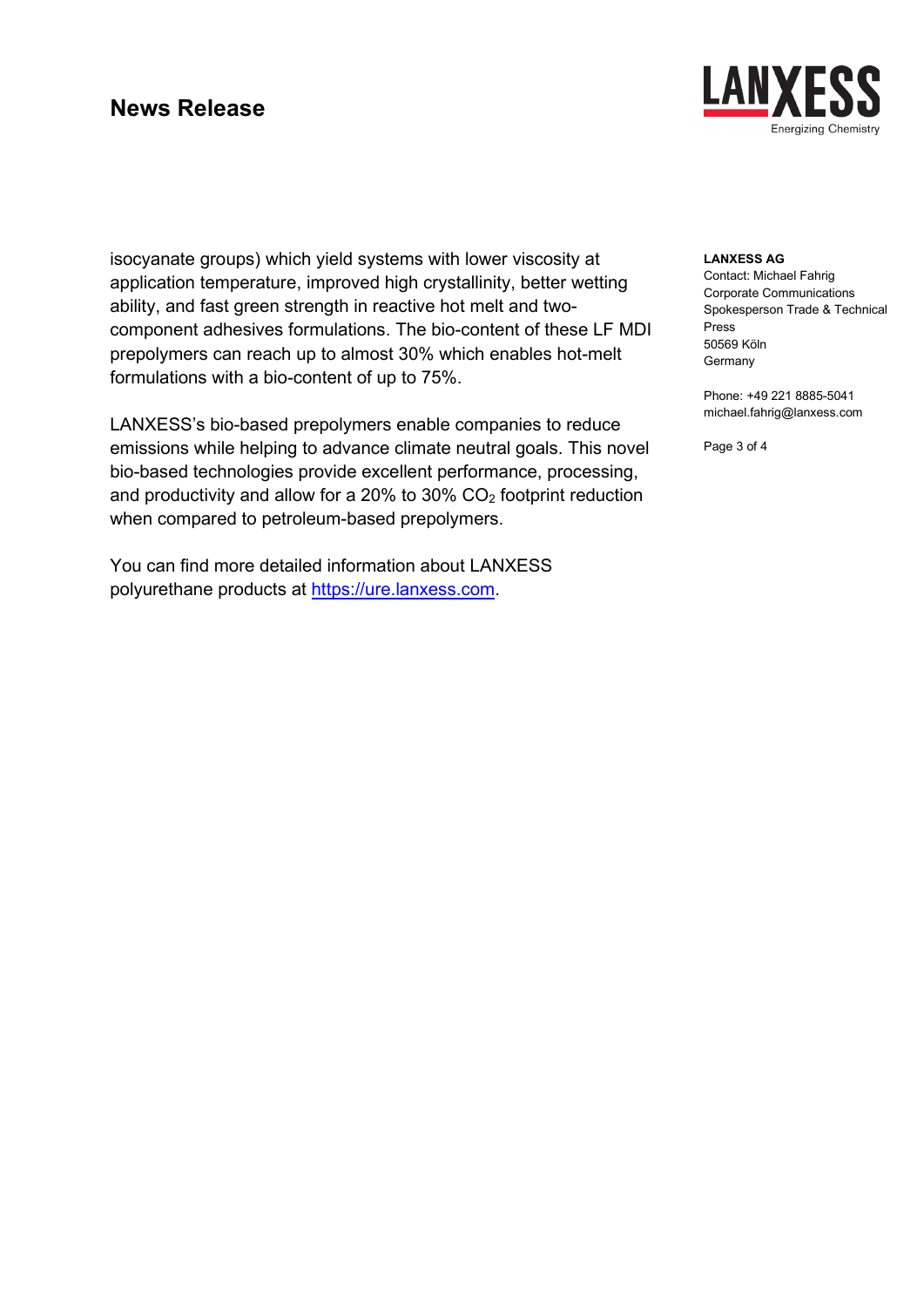## **News Release**



isocyanate groups) which yield systems with lower viscosity at application temperature, improved high crystallinity, better wetting ability, and fast green strength in reactive hot melt and twocomponent adhesives formulations. The bio-content of these LF MDI prepolymers can reach up to almost 30% which enables hot-melt formulations with a bio-content of up to 75%.

LANXESS's bio-based prepolymers enable companies to reduce emissions while helping to advance climate neutral goals. This novel bio-based technologies provide excellent performance, processing, and productivity and allow for a 20% to 30%  $CO<sub>2</sub>$  footprint reduction when compared to petroleum-based prepolymers.

You can find more detailed information about LANXESS polyurethane products at [https://ure.lanxess.com.](https://ure.lanxess.com/)

#### **LANXESS AG**

Contact: Michael Fahrig Corporate Communications Spokesperson Trade & Technical Press 50569 Köln **Germany** 

Phone: +49 221 8885-5041 michael.fahrig@lanxess.com

Page 3 of 4